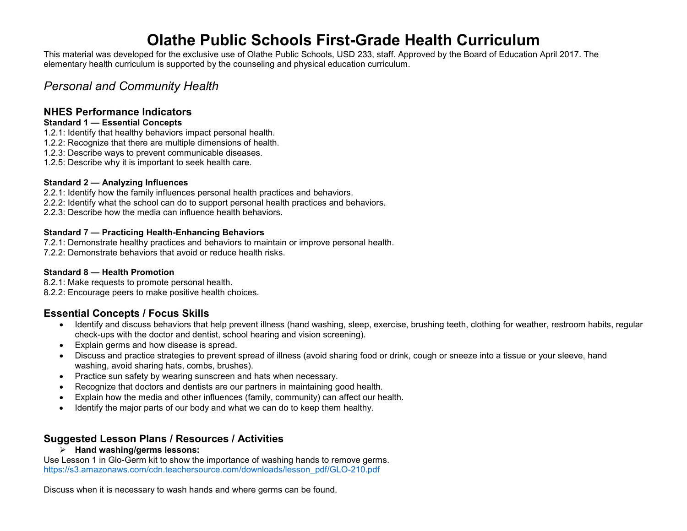# **Olathe Public Schools First-Grade Health Curriculum**

This material was developed for the exclusive use of Olathe Public Schools, USD 233, staff. Approved by the Board of Education April 2017. The elementary health curriculum is supported by the counseling and physical education curriculum.

# *Personal and Community Health*

# **NHES Performance Indicators**

#### **Standard 1 — Essential Concepts**

- 1.2.1: Identify that healthy behaviors impact personal health.
- 1.2.2: Recognize that there are multiple dimensions of health.
- 1.2.3: Describe ways to prevent communicable diseases.
- 1.2.5: Describe why it is important to seek health care.

#### **Standard 2 — Analyzing Influences**

- 2.2.1: Identify how the family influences personal health practices and behaviors.
- 2.2.2: Identify what the school can do to support personal health practices and behaviors.
- 2.2.3: Describe how the media can influence health behaviors.

#### **Standard 7 — Practicing Health-Enhancing Behaviors**

- 7.2.1: Demonstrate healthy practices and behaviors to maintain or improve personal health.
- 7.2.2: Demonstrate behaviors that avoid or reduce health risks.

#### **Standard 8 — Health Promotion**

- 8.2.1: Make requests to promote personal health.
- 8.2.2: Encourage peers to make positive health choices.

# **Essential Concepts / Focus Skills**

- Identify and discuss behaviors that help prevent illness (hand washing, sleep, exercise, brushing teeth, clothing for weather, restroom habits, regular check-ups with the doctor and dentist, school hearing and vision screening).
- Explain germs and how disease is spread.
- Discuss and practice strategies to prevent spread of illness (avoid sharing food or drink, cough or sneeze into a tissue or your sleeve, hand washing, avoid sharing hats, combs, brushes).
- Practice sun safety by wearing sunscreen and hats when necessary.
- Recognize that doctors and dentists are our partners in maintaining good health.
- Explain how the media and other influences (family, community) can affect our health.
- Identify the major parts of our body and what we can do to keep them healthy.

# **Suggested Lesson Plans / Resources / Activities**

**Hand washing/germs lessons:**

Use Lesson 1 in Glo-Germ kit to show the importance of washing hands to remove germs. [https://s3.amazonaws.com/cdn.teachersource.com/downloads/lesson\\_pdf/GLO-210.pdf](https://s3.amazonaws.com/cdn.teachersource.com/downloads/lesson_pdf/GLO-210.pdf)

Discuss when it is necessary to wash hands and where germs can be found.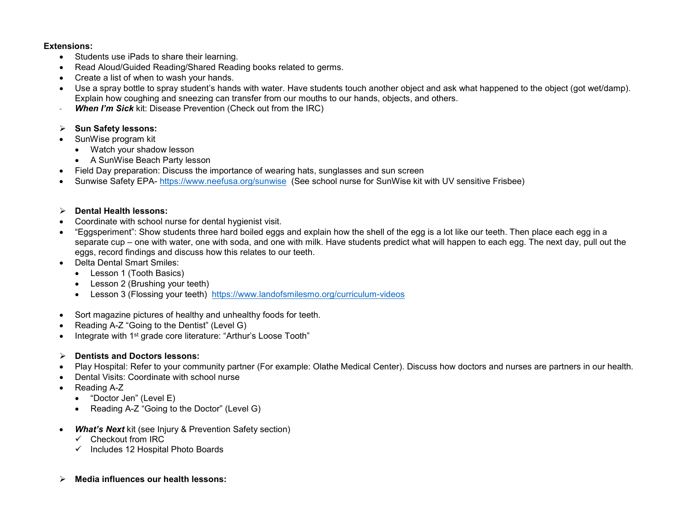#### **Extensions:**

- Students use iPads to share their learning.
- Read Aloud/Guided Reading/Shared Reading books related to germs.
- Create a list of when to wash your hands.
- Use a spray bottle to spray student's hands with water. Have students touch another object and ask what happened to the object (got wet/damp). Explain how coughing and sneezing can transfer from our mouths to our hands, objects, and others.
- **When I'm Sick** kit: Disease Prevention (Check out from the IRC)
- **Sun Safety lessons:**
- SunWise program kit
	- Watch your shadow lesson
	- A SunWise Beach Party lesson
- Field Day preparation: Discuss the importance of wearing hats, sunglasses and sun screen
- Sunwise Safety EPA- <https://www.neefusa.org/sunwise>(See school nurse for SunWise kit with UV sensitive Frisbee)

#### **Dental Health lessons:**

- Coordinate with school nurse for dental hygienist visit.
- "Eggsperiment": Show students three hard boiled eggs and explain how the shell of the egg is a lot like our teeth. Then place each egg in a separate cup – one with water, one with soda, and one with milk. Have students predict what will happen to each egg. The next day, pull out the eggs, record findings and discuss how this relates to our teeth.
- Delta Dental Smart Smiles:
	- Lesson 1 (Tooth Basics)
	- Lesson 2 (Brushing your teeth)
	- Lesson 3 (Flossing your teeth) <https://www.landofsmilesmo.org/curriculum-videos>
- Sort magazine pictures of healthy and unhealthy foods for teeth.
- Reading A-Z "Going to the Dentist" (Level G)
- Integrate with 1<sup>st</sup> grade core literature: "Arthur's Loose Tooth"
- **Dentists and Doctors lessons:**
- Play Hospital: Refer to your community partner (For example: Olathe Medical Center). Discuss how doctors and nurses are partners in our health.
- Dental Visits: Coordinate with school nurse
- Reading A-Z
	- "Doctor Jen" (Level E)
	- Reading A-Z "Going to the Doctor" (Level G)
- **What's Next** kit (see Injury & Prevention Safety section)
	- $\checkmark$  Checkout from IRC
	- $\checkmark$  Includes 12 Hospital Photo Boards
- **Media influences our health lessons:**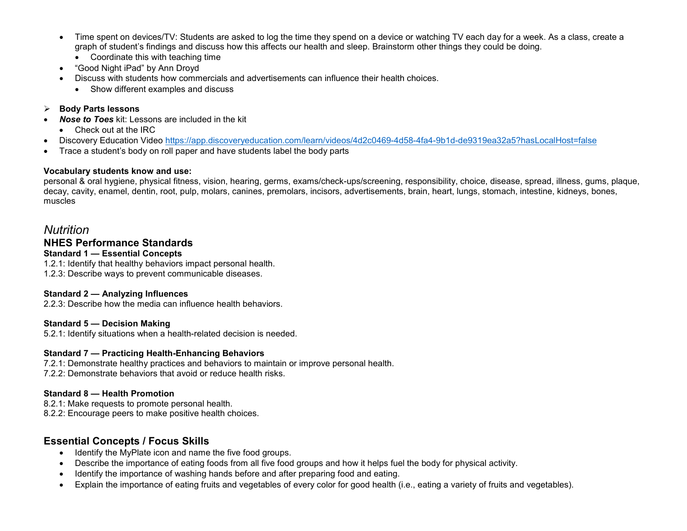- Time spent on devices/TV: Students are asked to log the time they spend on a device or watching TV each day for a week. As a class, create a graph of student's findings and discuss how this affects our health and sleep. Brainstorm other things they could be doing.
	- Coordinate this with teaching time
- "Good Night iPad" by Ann Droyd
- Discuss with students how commercials and advertisements can influence their health choices.
	- Show different examples and discuss

#### **Body Parts lessons**

- *Nose to Toes* kit: Lessons are included in the kit
	- Check out at the IRC
- Discovery Education Video<https://app.discoveryeducation.com/learn/videos/4d2c0469-4d58-4fa4-9b1d-de9319ea32a5?hasLocalHost=false>
- Trace a student's body on roll paper and have students label the body parts

#### **Vocabulary students know and use:**

personal & oral hygiene, physical fitness, vision, hearing, germs, exams/check-ups/screening, responsibility, choice, disease, spread, illness, gums, plaque, decay, cavity, enamel, dentin, root, pulp, molars, canines, premolars, incisors, advertisements, brain, heart, lungs, stomach, intestine, kidneys, bones, muscles

# *Nutrition*

# **NHES Performance Standards**

#### **Standard 1 — Essential Concepts**

1.2.1: Identify that healthy behaviors impact personal health. 1.2.3: Describe ways to prevent communicable diseases.

#### **Standard 2 — Analyzing Influences**

2.2.3: Describe how the media can influence health behaviors.

#### **Standard 5 — Decision Making**

5.2.1: Identify situations when a health-related decision is needed.

#### **Standard 7 — Practicing Health-Enhancing Behaviors**

7.2.1: Demonstrate healthy practices and behaviors to maintain or improve personal health. 7.2.2: Demonstrate behaviors that avoid or reduce health risks.

#### **Standard 8 — Health Promotion**

8.2.1: Make requests to promote personal health. 8.2.2: Encourage peers to make positive health choices.

### **Essential Concepts / Focus Skills**

- Identify the MyPlate icon and name the five food groups.
- Describe the importance of eating foods from all five food groups and how it helps fuel the body for physical activity.
- Identify the importance of washing hands before and after preparing food and eating.
- Explain the importance of eating fruits and vegetables of every color for good health (i.e., eating a variety of fruits and vegetables).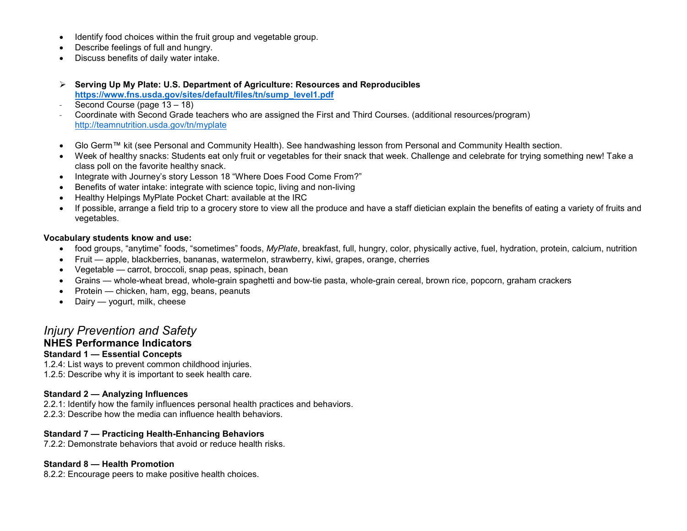- Identify food choices within the fruit group and vegetable group.
- Describe feelings of full and hungry.
- Discuss benefits of daily water intake.
- **Serving Up My Plate: U.S. Department of Agriculture: Resources and Reproducibles [https://www.fns.usda.gov/sites/default/files/tn/sump\\_level1.pdf](https://www.fns.usda.gov/sites/default/files/tn/sump_level1.pdf)**
- Second Course (page 13 18)
- Coordinate with Second Grade teachers who are assigned the First and Third Courses. (additional resources/program) <http://teamnutrition.usda.gov/tn/myplate>
- Glo Germ™ kit (see Personal and Community Health). See handwashing lesson from Personal and Community Health section.
- Week of healthy snacks: Students eat only fruit or vegetables for their snack that week. Challenge and celebrate for trying something new! Take a class poll on the favorite healthy snack.
- Integrate with Journey's story Lesson 18 "Where Does Food Come From?"
- Benefits of water intake: integrate with science topic, living and non-living
- Healthy Helpings MyPlate Pocket Chart: available at the IRC
- If possible, arrange a field trip to a grocery store to view all the produce and have a staff dietician explain the benefits of eating a variety of fruits and vegetables.

#### **Vocabulary students know and use:**

- food groups, "anytime" foods, "sometimes" foods, *MyPlate*, breakfast, full, hungry, color, physically active, fuel, hydration, protein, calcium, nutrition
- Fruit apple, blackberries, bananas, watermelon, strawberry, kiwi, grapes, orange, cherries
- Vegetable carrot, broccoli, snap peas, spinach, bean
- Grains whole-wheat bread, whole-grain spaghetti and bow-tie pasta, whole-grain cereal, brown rice, popcorn, graham crackers
- Protein chicken, ham, egg, beans, peanuts
- Dairy yogurt, milk, cheese

# *Injury Prevention and Safety*

### **NHES Performance Indicators**

#### **Standard 1 — Essential Concepts**

1.2.4: List ways to prevent common childhood injuries. 1.2.5: Describe why it is important to seek health care.

#### **Standard 2 — Analyzing Influences**

2.2.1: Identify how the family influences personal health practices and behaviors.

# 2.2.3: Describe how the media can influence health behaviors.

#### **Standard 7 — Practicing Health-Enhancing Behaviors**

7.2.2: Demonstrate behaviors that avoid or reduce health risks.

#### **Standard 8 — Health Promotion**

8.2.2: Encourage peers to make positive health choices.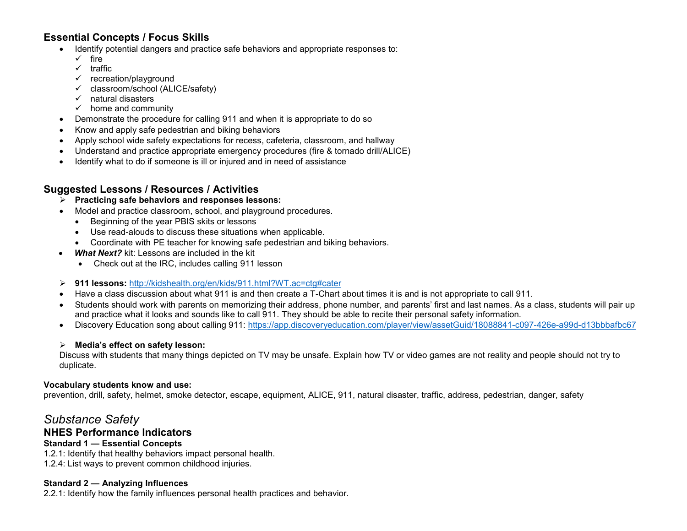# **Essential Concepts / Focus Skills**

- Identify potential dangers and practice safe behaviors and appropriate responses to:
	- $\checkmark$  fire
	- $\checkmark$  traffic
	- $\checkmark$  recreation/playground
	- $\checkmark$  classroom/school (ALICE/safety)
	- $\checkmark$  natural disasters
	- $\checkmark$  home and community
- Demonstrate the procedure for calling 911 and when it is appropriate to do so
- Know and apply safe pedestrian and biking behaviors
- Apply school wide safety expectations for recess, cafeteria, classroom, and hallway
- Understand and practice appropriate emergency procedures (fire & tornado drill/ALICE)
- Identify what to do if someone is ill or injured and in need of assistance

# **Suggested Lessons / Resources / Activities**

#### **Practicing safe behaviors and responses lessons:**

- Model and practice classroom, school, and playground procedures.
	- Beginning of the year PBIS skits or lessons
	- Use read-alouds to discuss these situations when applicable.
	- Coordinate with PE teacher for knowing safe pedestrian and biking behaviors.
- *What Next?* kit: Lessons are included in the kit
	- Check out at the IRC, includes calling 911 lesson
- **911 lessons:** http://kidshealth.org/en/kids/911.html?WT.ac=ctg#cater
- Have a class discussion about what 911 is and then create a T-Chart about times it is and is not appropriate to call 911.
- Students should work with parents on memorizing their address, phone number, and parents' first and last names. As a class, students will pair up and practice what it looks and sounds like to call 911. They should be able to recite their personal safety information.
- Discovery Education song about calling 911:<https://app.discoveryeducation.com/player/view/assetGuid/18088841-c097-426e-a99d-d13bbbafbc67>

#### **Media's effect on safety lesson:**

Discuss with students that many things depicted on TV may be unsafe. Explain how TV or video games are not reality and people should not try to duplicate.

#### **Vocabulary students know and use:**

prevention, drill, safety, helmet, smoke detector, escape, equipment, ALICE, 911, natural disaster, traffic, address, pedestrian, danger, safety

# *Substance Safety*

### **NHES Performance Indicators**

#### **Standard 1 — Essential Concepts**

1.2.1: Identify that healthy behaviors impact personal health. 1.2.4: List ways to prevent common childhood injuries.

#### **Standard 2 — Analyzing Influences**

2.2.1: Identify how the family influences personal health practices and behavior.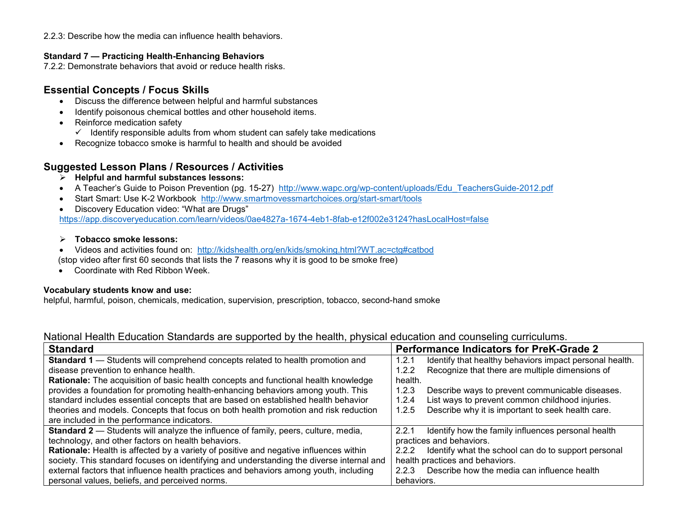2.2.3: Describe how the media can influence health behaviors.

#### **Standard 7 — Practicing Health-Enhancing Behaviors**

7.2.2: Demonstrate behaviors that avoid or reduce health risks.

# **Essential Concepts / Focus Skills**

- Discuss the difference between helpful and harmful substances
- Identify poisonous chemical bottles and other household items.
- Reinforce medication safety
	- $\checkmark$  Identify responsible adults from whom student can safely take medications
- Recognize tobacco smoke is harmful to health and should be avoided

# **Suggested Lesson Plans / Resources / Activities**

- **Helpful and harmful substances lessons:**
- A Teacher's Guide to Poison Prevention (pg. 15-27) [http://www.wapc.org/wp-content/uploads/Edu\\_TeachersGuide-2012.pdf](http://www.wapc.org/wp-content/uploads/Edu_TeachersGuide-2012.pdf)
- Start Smart: Use K-2 Workbook <http://www.smartmovessmartchoices.org/start-smart/tools>
- Discovery Education video: "What are Drugs" <https://app.discoveryeducation.com/learn/videos/0ae4827a-1674-4eb1-8fab-e12f002e3124?hasLocalHost=false>

#### **Tobacco smoke lessons:**

- Videos and activities found on: http://kidshealth.org/en/kids/smoking.html?WT.ac=ctg#catbod (stop video after first 60 seconds that lists the 7 reasons why it is good to be smoke free)
- Coordinate with Red Ribbon Week.

#### **Vocabulary students know and use:**

helpful, harmful, poison, chemicals, medication, supervision, prescription, tobacco, second-hand smoke

| <b>Standard</b>                                                                           | <b>Performance Indicators for PreK-Grade 2</b>                   |
|-------------------------------------------------------------------------------------------|------------------------------------------------------------------|
| <b>Standard 1</b> — Students will comprehend concepts related to health promotion and     | Identify that healthy behaviors impact personal health.<br>1.2.1 |
| disease prevention to enhance health.                                                     | Recognize that there are multiple dimensions of<br>1.2.2         |
| Rationale: The acquisition of basic health concepts and functional health knowledge       | health.                                                          |
| provides a foundation for promoting health-enhancing behaviors among youth. This          | Describe ways to prevent communicable diseases.<br>1.2.3         |
| standard includes essential concepts that are based on established health behavior        | List ways to prevent common childhood injuries.<br>1.2.4         |
| theories and models. Concepts that focus on both health promotion and risk reduction      | Describe why it is important to seek health care.<br>1.2.5       |
| are included in the performance indicators.                                               |                                                                  |
| <b>Standard 2</b> - Students will analyze the influence of family, peers, culture, media, | Identify how the family influences personal health<br>2.2.1      |

### National Health Education Standards are supported by the health, physical education and counseling curriculums.

| <b>Standard 2</b> - Students will analyze the influence of family, peers, culture, media,    | Identify how the family influences personal health<br>2.2.1 |
|----------------------------------------------------------------------------------------------|-------------------------------------------------------------|
| technology, and other factors on health behaviors.                                           | practices and behaviors.                                    |
| <b>Rationale:</b> Health is affected by a variety of positive and negative influences within | 2.2.2 Identify what the school can do to support personal   |
| society. This standard focuses on identifying and understanding the diverse internal and     | health practices and behaviors.                             |
| external factors that influence health practices and behaviors among youth, including        | Describe how the media can influence health<br>2.2.3        |
| personal values, beliefs, and perceived norms.                                               | behaviors.                                                  |
|                                                                                              |                                                             |